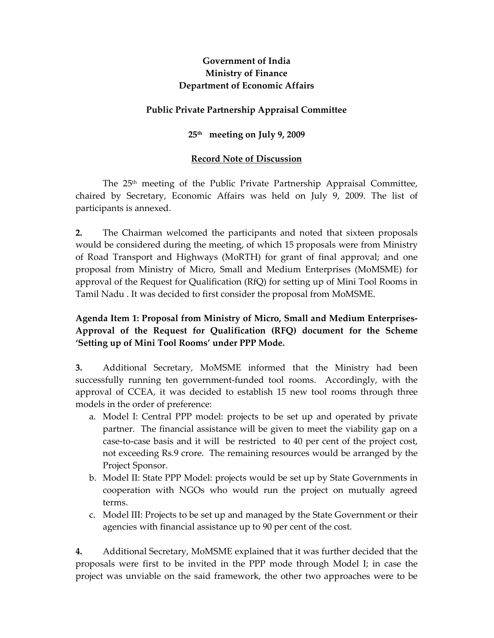## Government of India Ministry of Finance Department of Economic Affairs

### Public Private Partnership Appraisal Committee

### 25th meeting on July 9, 2009

### Record Note of Discussion

The  $25<sup>th</sup>$  meeting of the Public Private Partnership Appraisal Committee, chaired by Secretary, Economic Affairs was held on July 9, 2009. The list of participants is annexed.

2. The Chairman welcomed the participants and noted that sixteen proposals would be considered during the meeting, of which 15 proposals were from Ministry of Road Transport and Highways (MoRTH) for grant of final approval; and one proposal from Ministry of Micro, Small and Medium Enterprises (MoMSME) for approval of the Request for Qualification (RfQ) for setting up of Mini Tool Rooms in Tamil Nadu . It was decided to first consider the proposal from MoMSME.

## Agenda Item 1: Proposal from Ministry of Micro, Small and Medium Enterprises-Approval of the Request for Qualification (RFQ) document for the Scheme 'Setting up of Mini Tool Rooms' under PPP Mode.

3. Additional Secretary, MoMSME informed that the Ministry had been successfully running ten government-funded tool rooms. Accordingly, with the approval of CCEA, it was decided to establish 15 new tool rooms through three models in the order of preference:

- a. Model I: Central PPP model: projects to be set up and operated by private partner. The financial assistance will be given to meet the viability gap on a case-to-case basis and it will be restricted to 40 per cent of the project cost, not exceeding Rs.9 crore. The remaining resources would be arranged by the Project Sponsor.
- b. Model II: State PPP Model: projects would be set up by State Governments in cooperation with NGOs who would run the project on mutually agreed terms.
- c. Model III: Projects to be set up and managed by the State Government or their agencies with financial assistance up to 90 per cent of the cost.

4. Additional Secretary, MoMSME explained that it was further decided that the proposals were first to be invited in the PPP mode through Model I; in case the project was unviable on the said framework, the other two approaches were to be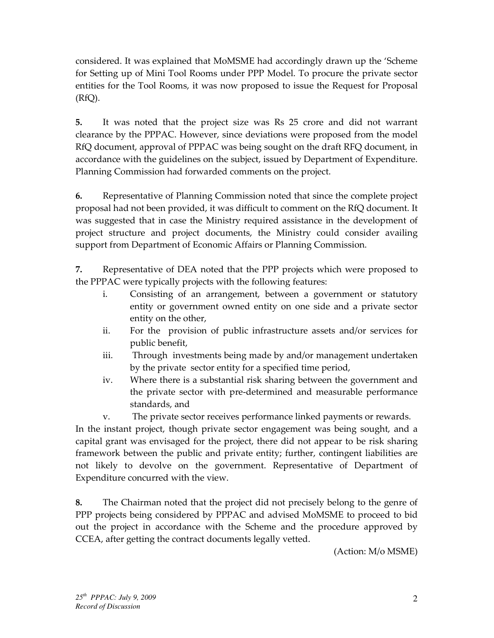considered. It was explained that MoMSME had accordingly drawn up the 'Scheme for Setting up of Mini Tool Rooms under PPP Model. To procure the private sector entities for the Tool Rooms, it was now proposed to issue the Request for Proposal  $(RfQ)$ .

5. It was noted that the project size was Rs 25 crore and did not warrant clearance by the PPPAC. However, since deviations were proposed from the model RfQ document, approval of PPPAC was being sought on the draft RFQ document, in accordance with the guidelines on the subject, issued by Department of Expenditure. Planning Commission had forwarded comments on the project.

6. Representative of Planning Commission noted that since the complete project proposal had not been provided, it was difficult to comment on the RfQ document. It was suggested that in case the Ministry required assistance in the development of project structure and project documents, the Ministry could consider availing support from Department of Economic Affairs or Planning Commission.

7. Representative of DEA noted that the PPP projects which were proposed to the PPPAC were typically projects with the following features:

- i. Consisting of an arrangement, between a government or statutory entity or government owned entity on one side and a private sector entity on the other,
- ii. For the provision of public infrastructure assets and/or services for public benefit,
- iii. Through investments being made by and/or management undertaken by the private sector entity for a specified time period,
- iv. Where there is a substantial risk sharing between the government and the private sector with pre-determined and measurable performance standards, and
- v. The private sector receives performance linked payments or rewards.

In the instant project, though private sector engagement was being sought, and a capital grant was envisaged for the project, there did not appear to be risk sharing framework between the public and private entity; further, contingent liabilities are not likely to devolve on the government. Representative of Department of Expenditure concurred with the view.

8. The Chairman noted that the project did not precisely belong to the genre of PPP projects being considered by PPPAC and advised MoMSME to proceed to bid out the project in accordance with the Scheme and the procedure approved by CCEA, after getting the contract documents legally vetted.

(Action: M/o MSME)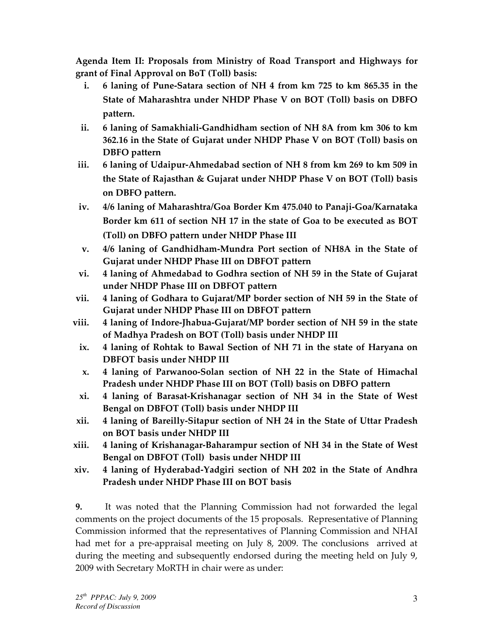Agenda Item II: Proposals from Ministry of Road Transport and Highways for grant of Final Approval on BoT (Toll) basis:

- i. 6 laning of Pune-Satara section of NH 4 from km 725 to km 865.35 in the State of Maharashtra under NHDP Phase V on BOT (Toll) basis on DBFO pattern.
- ii. 6 laning of Samakhiali-Gandhidham section of NH 8A from km 306 to km 362.16 in the State of Gujarat under NHDP Phase V on BOT (Toll) basis on DBFO pattern
- iii. 6 laning of Udaipur-Ahmedabad section of NH 8 from km 269 to km 509 in the State of Rajasthan & Gujarat under NHDP Phase V on BOT (Toll) basis on DBFO pattern.
- iv. 4/6 laning of Maharashtra/Goa Border Km 475.040 to Panaji-Goa/Karnataka Border km 611 of section NH 17 in the state of Goa to be executed as BOT (Toll) on DBFO pattern under NHDP Phase III
- v. 4/6 laning of Gandhidham-Mundra Port section of NH8A in the State of Gujarat under NHDP Phase III on DBFOT pattern
- vi. 4 laning of Ahmedabad to Godhra section of NH 59 in the State of Gujarat under NHDP Phase III on DBFOT pattern
- vii. 4 laning of Godhara to Gujarat/MP border section of NH 59 in the State of Gujarat under NHDP Phase III on DBFOT pattern
- viii. 4 laning of Indore-Jhabua-Gujarat/MP border section of NH 59 in the state of Madhya Pradesh on BOT (Toll) basis under NHDP III
	- ix. 4 laning of Rohtak to Bawal Section of NH 71 in the state of Haryana on DBFOT basis under NHDP III
	- x. 4 laning of Parwanoo-Solan section of NH 22 in the State of Himachal Pradesh under NHDP Phase III on BOT (Toll) basis on DBFO pattern
	- xi. 4 laning of Barasat-Krishanagar section of NH 34 in the State of West Bengal on DBFOT (Toll) basis under NHDP III
- xii. 4 laning of Bareilly-Sitapur section of NH 24 in the State of Uttar Pradesh on BOT basis under NHDP III
- xiii. 4 laning of Krishanagar-Baharampur section of NH 34 in the State of West Bengal on DBFOT (Toll) basis under NHDP III
- xiv. 4 laning of Hyderabad-Yadgiri section of NH 202 in the State of Andhra Pradesh under NHDP Phase III on BOT basis

9. It was noted that the Planning Commission had not forwarded the legal comments on the project documents of the 15 proposals. Representative of Planning Commission informed that the representatives of Planning Commission and NHAI had met for a pre-appraisal meeting on July 8, 2009. The conclusions arrived at during the meeting and subsequently endorsed during the meeting held on July 9, 2009 with Secretary MoRTH in chair were as under: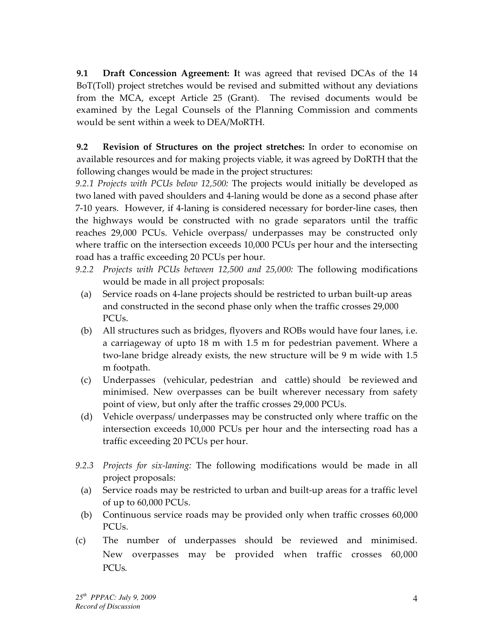9.1 Draft Concession Agreement: It was agreed that revised DCAs of the 14 BoT(Toll) project stretches would be revised and submitted without any deviations from the MCA, except Article 25 (Grant). The revised documents would be examined by the Legal Counsels of the Planning Commission and comments would be sent within a week to DEA/MoRTH.

9.2 Revision of Structures on the project stretches: In order to economise on available resources and for making projects viable, it was agreed by DoRTH that the following changes would be made in the project structures:

9.2.1 Projects with PCUs below 12,500: The projects would initially be developed as two laned with paved shoulders and 4-laning would be done as a second phase after 7-10 years. However, if 4-laning is considered necessary for border-line cases, then the highways would be constructed with no grade separators until the traffic reaches 29,000 PCUs. Vehicle overpass/ underpasses may be constructed only where traffic on the intersection exceeds 10,000 PCUs per hour and the intersecting road has a traffic exceeding 20 PCUs per hour.

- 9.2.2 Projects with PCUs between 12,500 and 25,000: The following modifications would be made in all project proposals:
- (a) Service roads on 4-lane projects should be restricted to urban built-up areas and constructed in the second phase only when the traffic crosses 29,000 PCUs.
- (b) All structures such as bridges, flyovers and ROBs would have four lanes, i.e. a carriageway of upto 18 m with 1.5 m for pedestrian pavement. Where a two-lane bridge already exists, the new structure will be 9 m wide with 1.5 m footpath.
- (c) Underpasses (vehicular, pedestrian and cattle) should be reviewed and minimised. New overpasses can be built wherever necessary from safety point of view, but only after the traffic crosses 29,000 PCUs.
- (d) Vehicle overpass/ underpasses may be constructed only where traffic on the intersection exceeds 10,000 PCUs per hour and the intersecting road has a traffic exceeding 20 PCUs per hour.
- 9.2.3 Projects for six-laning: The following modifications would be made in all project proposals:
- (a) Service roads may be restricted to urban and built-up areas for a traffic level of up to 60,000 PCUs.
- (b) Continuous service roads may be provided only when traffic crosses 60,000 PCUs.
- (c) The number of underpasses should be reviewed and minimised. New overpasses may be provided when traffic crosses 60,000 PCUs.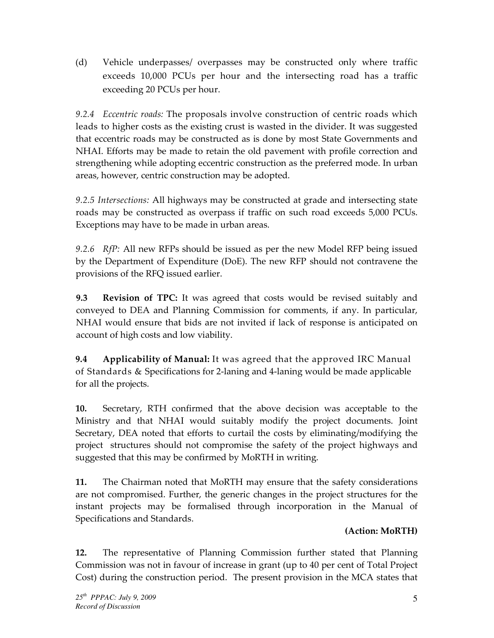(d) Vehicle underpasses/ overpasses may be constructed only where traffic exceeds 10,000 PCUs per hour and the intersecting road has a traffic exceeding 20 PCUs per hour.

9.2.4 Eccentric roads: The proposals involve construction of centric roads which leads to higher costs as the existing crust is wasted in the divider. It was suggested that eccentric roads may be constructed as is done by most State Governments and NHAI. Efforts may be made to retain the old pavement with profile correction and strengthening while adopting eccentric construction as the preferred mode. In urban areas, however, centric construction may be adopted.

9.2.5 Intersections: All highways may be constructed at grade and intersecting state roads may be constructed as overpass if traffic on such road exceeds 5,000 PCUs. Exceptions may have to be made in urban areas.

9.2.6 RfP: All new RFPs should be issued as per the new Model RFP being issued by the Department of Expenditure (DoE). The new RFP should not contravene the provisions of the RFQ issued earlier.

9.3 Revision of TPC: It was agreed that costs would be revised suitably and conveyed to DEA and Planning Commission for comments, if any. In particular, NHAI would ensure that bids are not invited if lack of response is anticipated on account of high costs and low viability.

9.4 Applicability of Manual: It was agreed that the approved IRC Manual of Standards & Specifications for 2-laning and 4-laning would be made applicable for all the projects.

10. Secretary, RTH confirmed that the above decision was acceptable to the Ministry and that NHAI would suitably modify the project documents. Joint Secretary, DEA noted that efforts to curtail the costs by eliminating/modifying the project structures should not compromise the safety of the project highways and suggested that this may be confirmed by MoRTH in writing.

11. The Chairman noted that MoRTH may ensure that the safety considerations are not compromised. Further, the generic changes in the project structures for the instant projects may be formalised through incorporation in the Manual of Specifications and Standards.

# (Action: MoRTH)

12. The representative of Planning Commission further stated that Planning Commission was not in favour of increase in grant (up to 40 per cent of Total Project Cost) during the construction period. The present provision in the MCA states that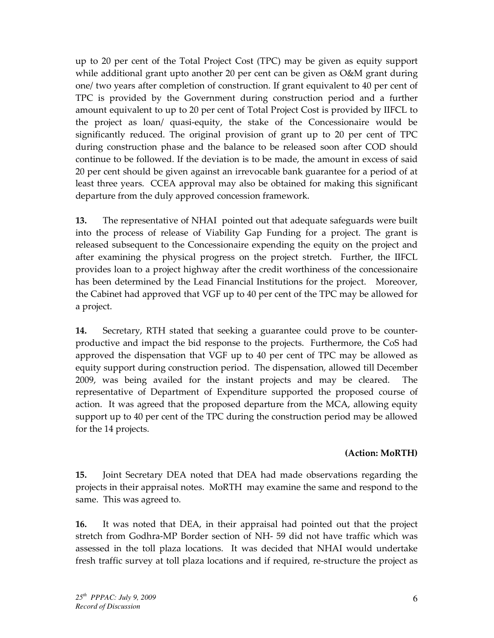up to 20 per cent of the Total Project Cost (TPC) may be given as equity support while additional grant upto another 20 per cent can be given as O&M grant during one/ two years after completion of construction. If grant equivalent to 40 per cent of TPC is provided by the Government during construction period and a further amount equivalent to up to 20 per cent of Total Project Cost is provided by IIFCL to the project as loan/ quasi-equity, the stake of the Concessionaire would be significantly reduced. The original provision of grant up to 20 per cent of TPC during construction phase and the balance to be released soon after COD should continue to be followed. If the deviation is to be made, the amount in excess of said 20 per cent should be given against an irrevocable bank guarantee for a period of at least three years. CCEA approval may also be obtained for making this significant departure from the duly approved concession framework.

13. The representative of NHAI pointed out that adequate safeguards were built into the process of release of Viability Gap Funding for a project. The grant is released subsequent to the Concessionaire expending the equity on the project and after examining the physical progress on the project stretch. Further, the IIFCL provides loan to a project highway after the credit worthiness of the concessionaire has been determined by the Lead Financial Institutions for the project. Moreover, the Cabinet had approved that VGF up to 40 per cent of the TPC may be allowed for a project.

14. Secretary, RTH stated that seeking a guarantee could prove to be counterproductive and impact the bid response to the projects. Furthermore, the CoS had approved the dispensation that VGF up to 40 per cent of TPC may be allowed as equity support during construction period. The dispensation, allowed till December 2009, was being availed for the instant projects and may be cleared. The representative of Department of Expenditure supported the proposed course of action. It was agreed that the proposed departure from the MCA, allowing equity support up to 40 per cent of the TPC during the construction period may be allowed for the 14 projects.

### (Action: MoRTH)

15. Joint Secretary DEA noted that DEA had made observations regarding the projects in their appraisal notes. MoRTH may examine the same and respond to the same. This was agreed to.

16. It was noted that DEA, in their appraisal had pointed out that the project stretch from Godhra-MP Border section of NH- 59 did not have traffic which was assessed in the toll plaza locations. It was decided that NHAI would undertake fresh traffic survey at toll plaza locations and if required, re-structure the project as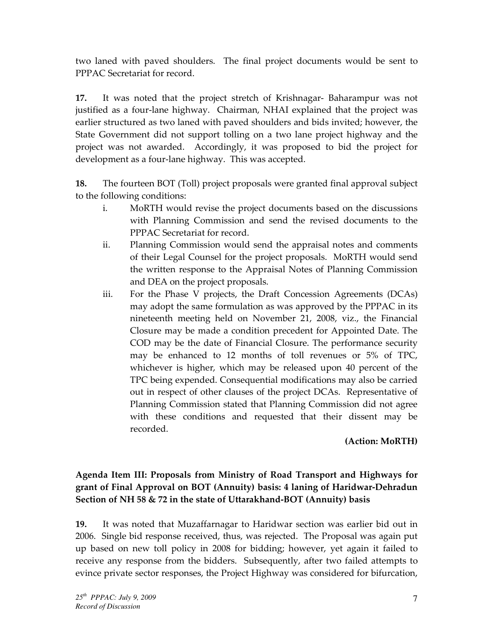two laned with paved shoulders. The final project documents would be sent to PPPAC Secretariat for record.

17. It was noted that the project stretch of Krishnagar- Baharampur was not justified as a four-lane highway. Chairman, NHAI explained that the project was earlier structured as two laned with paved shoulders and bids invited; however, the State Government did not support tolling on a two lane project highway and the project was not awarded. Accordingly, it was proposed to bid the project for development as a four-lane highway. This was accepted.

18. The fourteen BOT (Toll) project proposals were granted final approval subject to the following conditions:

- i. MoRTH would revise the project documents based on the discussions with Planning Commission and send the revised documents to the PPPAC Secretariat for record.
- ii. Planning Commission would send the appraisal notes and comments of their Legal Counsel for the project proposals. MoRTH would send the written response to the Appraisal Notes of Planning Commission and DEA on the project proposals.
- iii. For the Phase V projects, the Draft Concession Agreements (DCAs) may adopt the same formulation as was approved by the PPPAC in its nineteenth meeting held on November 21, 2008, viz., the Financial Closure may be made a condition precedent for Appointed Date. The COD may be the date of Financial Closure. The performance security may be enhanced to 12 months of toll revenues or 5% of TPC, whichever is higher, which may be released upon 40 percent of the TPC being expended. Consequential modifications may also be carried out in respect of other clauses of the project DCAs. Representative of Planning Commission stated that Planning Commission did not agree with these conditions and requested that their dissent may be recorded.

### (Action: MoRTH)

# Agenda Item III: Proposals from Ministry of Road Transport and Highways for grant of Final Approval on BOT (Annuity) basis: 4 laning of Haridwar-Dehradun Section of NH 58 & 72 in the state of Uttarakhand-BOT (Annuity) basis

19. It was noted that Muzaffarnagar to Haridwar section was earlier bid out in 2006. Single bid response received, thus, was rejected. The Proposal was again put up based on new toll policy in 2008 for bidding; however, yet again it failed to receive any response from the bidders. Subsequently, after two failed attempts to evince private sector responses, the Project Highway was considered for bifurcation,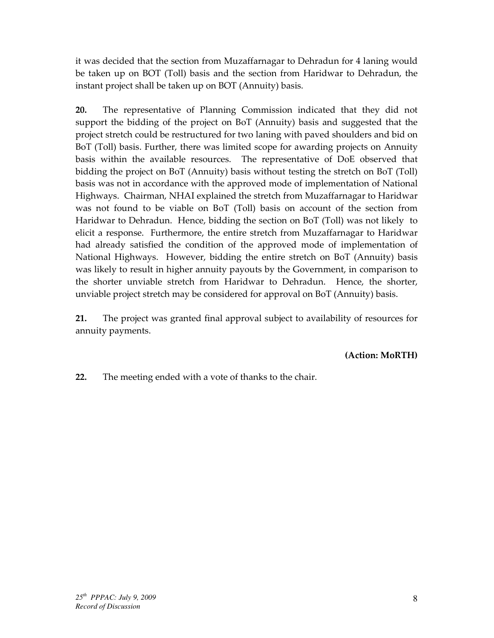it was decided that the section from Muzaffarnagar to Dehradun for 4 laning would be taken up on BOT (Toll) basis and the section from Haridwar to Dehradun, the instant project shall be taken up on BOT (Annuity) basis.

20. The representative of Planning Commission indicated that they did not support the bidding of the project on BoT (Annuity) basis and suggested that the project stretch could be restructured for two laning with paved shoulders and bid on BoT (Toll) basis. Further, there was limited scope for awarding projects on Annuity basis within the available resources. The representative of DoE observed that bidding the project on BoT (Annuity) basis without testing the stretch on BoT (Toll) basis was not in accordance with the approved mode of implementation of National Highways. Chairman, NHAI explained the stretch from Muzaffarnagar to Haridwar was not found to be viable on BoT (Toll) basis on account of the section from Haridwar to Dehradun. Hence, bidding the section on BoT (Toll) was not likely to elicit a response. Furthermore, the entire stretch from Muzaffarnagar to Haridwar had already satisfied the condition of the approved mode of implementation of National Highways. However, bidding the entire stretch on BoT (Annuity) basis was likely to result in higher annuity payouts by the Government, in comparison to the shorter unviable stretch from Haridwar to Dehradun. Hence, the shorter, unviable project stretch may be considered for approval on BoT (Annuity) basis.

21. The project was granted final approval subject to availability of resources for annuity payments.

(Action: MoRTH)

22. The meeting ended with a vote of thanks to the chair.